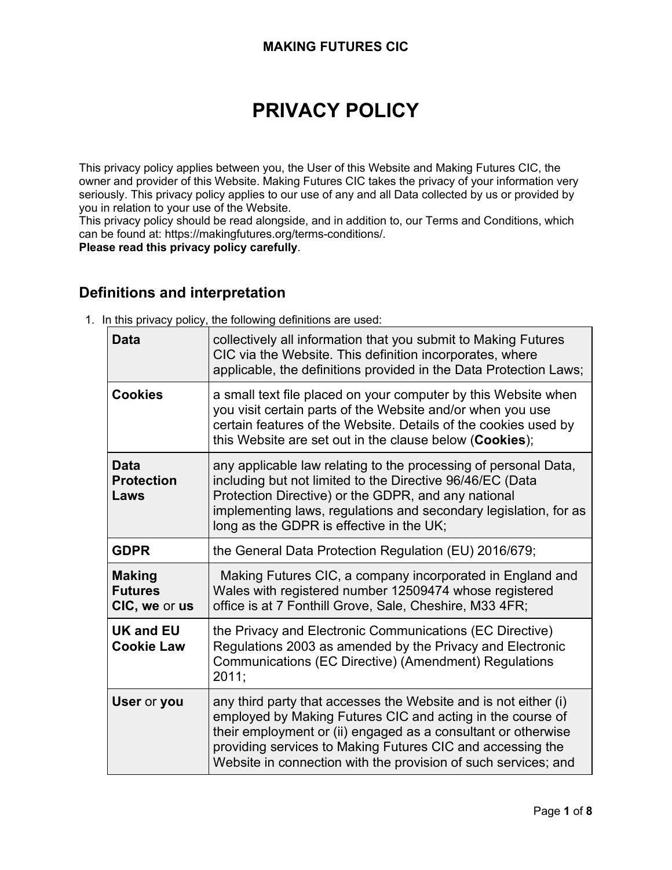# **PRIVACY POLICY**

This privacy policy applies between you, the User of this Website and Making Futures CIC, the owner and provider of this Website. Making Futures CIC takes the privacy of your information very seriously. This privacy policy applies to our use of any and all Data collected by us or provided by you in relation to your use of the Website.

This privacy policy should be read alongside, and in addition to, our Terms and Conditions, which can be found at: https://makingfutures.org/terms-conditions/.

**Please read this privacy policy carefully**.

# **Definitions and interpretation**

1. In this privacy policy, the following definitions are used:

| <b>Data</b>                                      | collectively all information that you submit to Making Futures<br>CIC via the Website. This definition incorporates, where<br>applicable, the definitions provided in the Data Protection Laws;                                                                                                                                |
|--------------------------------------------------|--------------------------------------------------------------------------------------------------------------------------------------------------------------------------------------------------------------------------------------------------------------------------------------------------------------------------------|
| <b>Cookies</b>                                   | a small text file placed on your computer by this Website when<br>you visit certain parts of the Website and/or when you use<br>certain features of the Website. Details of the cookies used by<br>this Website are set out in the clause below (Cookies);                                                                     |
| <b>Data</b><br><b>Protection</b><br>Laws         | any applicable law relating to the processing of personal Data,<br>including but not limited to the Directive 96/46/EC (Data<br>Protection Directive) or the GDPR, and any national<br>implementing laws, regulations and secondary legislation, for as<br>long as the GDPR is effective in the UK;                            |
| <b>GDPR</b>                                      | the General Data Protection Regulation (EU) 2016/679;                                                                                                                                                                                                                                                                          |
| <b>Making</b><br><b>Futures</b><br>CIC, we or us | Making Futures CIC, a company incorporated in England and<br>Wales with registered number 12509474 whose registered<br>office is at 7 Fonthill Grove, Sale, Cheshire, M33 4FR;                                                                                                                                                 |
| <b>UK and EU</b><br><b>Cookie Law</b>            | the Privacy and Electronic Communications (EC Directive)<br>Regulations 2003 as amended by the Privacy and Electronic<br>Communications (EC Directive) (Amendment) Regulations<br>2011;                                                                                                                                        |
| User or you                                      | any third party that accesses the Website and is not either (i)<br>employed by Making Futures CIC and acting in the course of<br>their employment or (ii) engaged as a consultant or otherwise<br>providing services to Making Futures CIC and accessing the<br>Website in connection with the provision of such services; and |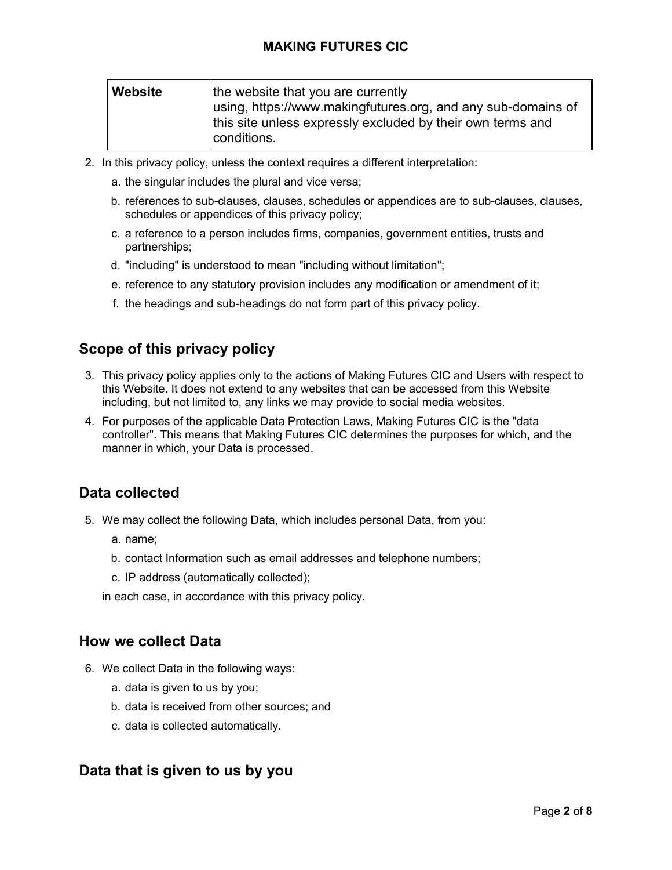| Website | the website that you are currently                           |  |
|---------|--------------------------------------------------------------|--|
|         | using, https://www.makingfutures.org, and any sub-domains of |  |
|         | this site unless expressly excluded by their own terms and   |  |
|         | conditions.                                                  |  |

- 2. In this privacy policy, unless the context requires a different interpretation:
	- a. the singular includes the plural and vice versa;
	- b. references to sub-clauses, clauses, schedules or appendices are to sub-clauses, clauses, schedules or appendices of this privacy policy;
	- c. a reference to a person includes firms, companies, government entities, trusts and partnerships;
	- d. "including" is understood to mean "including without limitation";
	- e. reference to any statutory provision includes any modification or amendment of it;
	- f. the headings and sub-headings do not form part of this privacy policy.

# **Scope of this privacy policy**

- 3. This privacy policy applies only to the actions of Making Futures CIC and Users with respect to this Website. It does not extend to any websites that can be accessed from this Website including, but not limited to, any links we may provide to social media websites.
- 4. For purposes of the applicable Data Protection Laws, Making Futures CIC is the "data controller". This means that Making Futures CIC determines the purposes for which, and the manner in which, your Data is processed.

## **Data collected**

- 5. We may collect the following Data, which includes personal Data, from you:
	- a. name;
	- b. contact Information such as email addresses and telephone numbers;
	- c. IP address (automatically collected);

in each case, in accordance with this privacy policy.

## **How we collect Data**

- 6. We collect Data in the following ways:
	- a. data is given to us by you;
	- b. data is received from other sources; and
	- c. data is collected automatically.

## **Data that is given to us by you**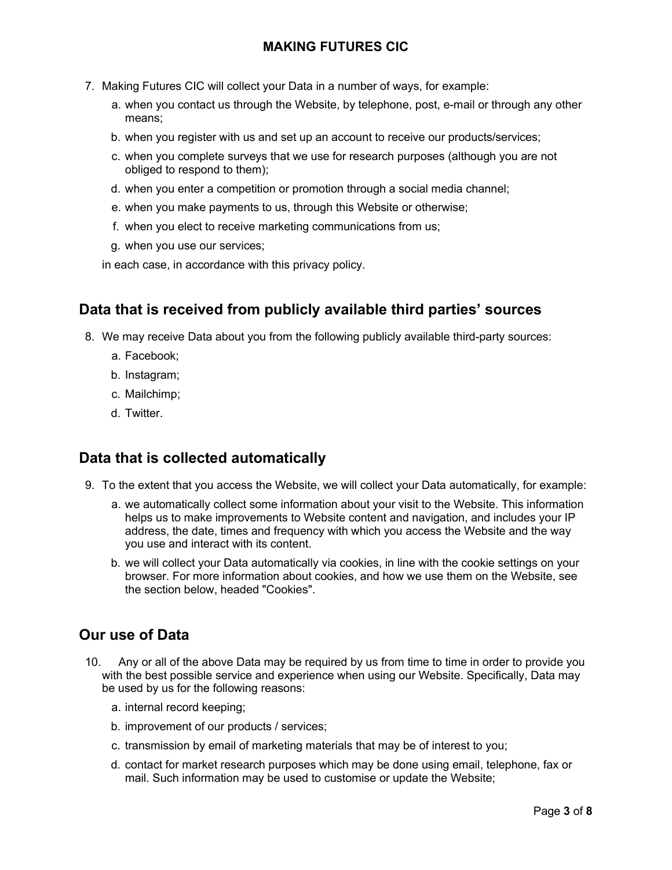- 7. Making Futures CIC will collect your Data in a number of ways, for example:
	- a. when you contact us through the Website, by telephone, post, e-mail or through any other means;
	- b. when you register with us and set up an account to receive our products/services;
	- c. when you complete surveys that we use for research purposes (although you are not obliged to respond to them);
	- d. when you enter a competition or promotion through a social media channel;
	- e. when you make payments to us, through this Website or otherwise;
	- f. when you elect to receive marketing communications from us;
	- g. when you use our services;

in each case, in accordance with this privacy policy.

## **Data that is received from publicly available third parties' sources**

- 8. We may receive Data about you from the following publicly available third-party sources:
	- a. Facebook;
	- b. Instagram;
	- c. Mailchimp;
	- d. Twitter.

## **Data that is collected automatically**

- 9. To the extent that you access the Website, we will collect your Data automatically, for example:
	- a. we automatically collect some information about your visit to the Website. This information helps us to make improvements to Website content and navigation, and includes your IP address, the date, times and frequency with which you access the Website and the way you use and interact with its content.
	- b. we will collect your Data automatically via cookies, in line with the cookie settings on your browser. For more information about cookies, and how we use them on the Website, see the section below, headed "Cookies".

# **Our use of Data**

- 10. Any or all of the above Data may be required by us from time to time in order to provide you with the best possible service and experience when using our Website. Specifically, Data may be used by us for the following reasons:
	- a. internal record keeping;
	- b. improvement of our products / services;
	- c. transmission by email of marketing materials that may be of interest to you;
	- d. contact for market research purposes which may be done using email, telephone, fax or mail. Such information may be used to customise or update the Website;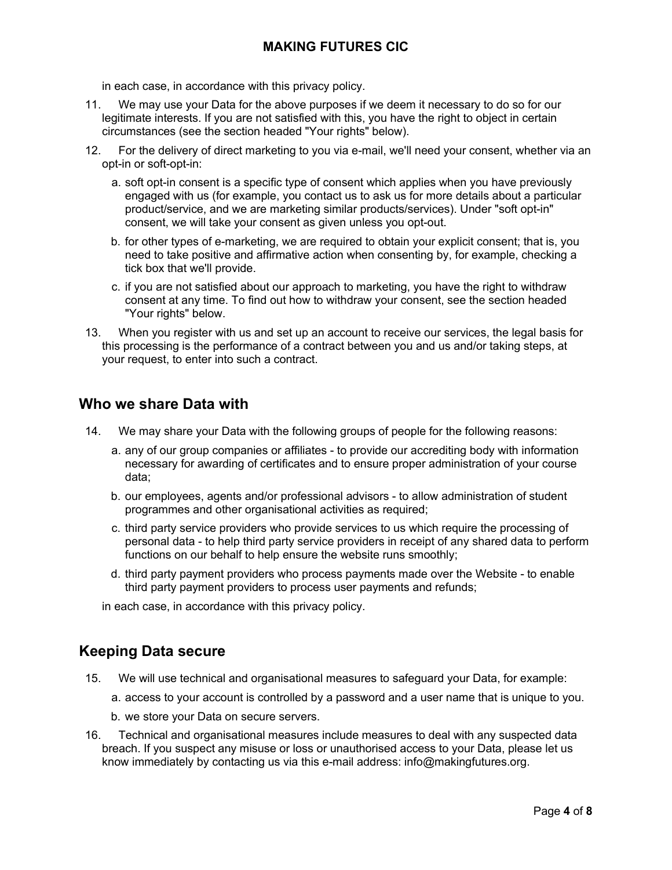in each case, in accordance with this privacy policy.

- 11. We may use your Data for the above purposes if we deem it necessary to do so for our legitimate interests. If you are not satisfied with this, you have the right to object in certain circumstances (see the section headed "Your rights" below).
- 12. For the delivery of direct marketing to you via e-mail, we'll need your consent, whether via an opt-in or soft-opt-in:
	- a. soft opt-in consent is a specific type of consent which applies when you have previously engaged with us (for example, you contact us to ask us for more details about a particular product/service, and we are marketing similar products/services). Under "soft opt-in" consent, we will take your consent as given unless you opt-out.
	- b. for other types of e-marketing, we are required to obtain your explicit consent; that is, you need to take positive and affirmative action when consenting by, for example, checking a tick box that we'll provide.
	- c. if you are not satisfied about our approach to marketing, you have the right to withdraw consent at any time. To find out how to withdraw your consent, see the section headed "Your rights" below.
- 13. When you register with us and set up an account to receive our services, the legal basis for this processing is the performance of a contract between you and us and/or taking steps, at your request, to enter into such a contract.

## **Who we share Data with**

- 14. We may share your Data with the following groups of people for the following reasons:
	- a. any of our group companies or affiliates to provide our accrediting body with information necessary for awarding of certificates and to ensure proper administration of your course data;
	- b. our employees, agents and/or professional advisors to allow administration of student programmes and other organisational activities as required;
	- c. third party service providers who provide services to us which require the processing of personal data - to help third party service providers in receipt of any shared data to perform functions on our behalf to help ensure the website runs smoothly;
	- d. third party payment providers who process payments made over the Website to enable third party payment providers to process user payments and refunds;

in each case, in accordance with this privacy policy.

## **Keeping Data secure**

- 15. We will use technical and organisational measures to safeguard your Data, for example:
	- a. access to your account is controlled by a password and a user name that is unique to you.
	- b. we store your Data on secure servers.
- 16. Technical and organisational measures include measures to deal with any suspected data breach. If you suspect any misuse or loss or unauthorised access to your Data, please let us know immediately by contacting us via this e-mail address: info@makingfutures.org.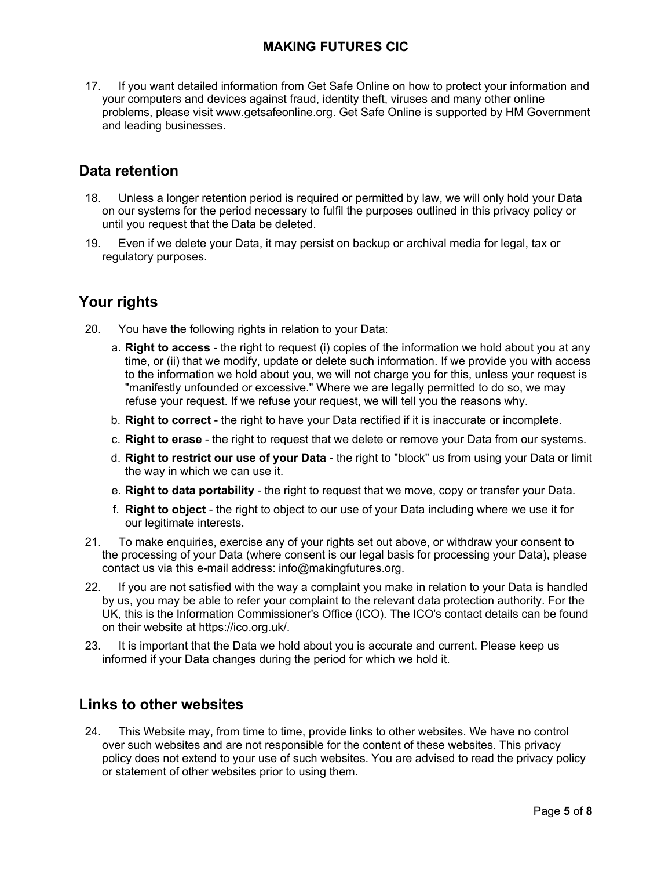17. If you want detailed information from Get Safe Online on how to protect your information and your computers and devices against fraud, identity theft, viruses and many other online problems, please visit www.getsafeonline.org. Get Safe Online is supported by HM Government and leading businesses.

# **Data retention**

- 18. Unless a longer retention period is required or permitted by law, we will only hold your Data on our systems for the period necessary to fulfil the purposes outlined in this privacy policy or until you request that the Data be deleted.
- 19. Even if we delete your Data, it may persist on backup or archival media for legal, tax or regulatory purposes.

# **Your rights**

- 20. You have the following rights in relation to your Data:
	- a. **Right to access** the right to request (i) copies of the information we hold about you at any time, or (ii) that we modify, update or delete such information. If we provide you with access to the information we hold about you, we will not charge you for this, unless your request is "manifestly unfounded or excessive." Where we are legally permitted to do so, we may refuse your request. If we refuse your request, we will tell you the reasons why.
	- b. **Right to correct** the right to have your Data rectified if it is inaccurate or incomplete.
	- c. **Right to erase** the right to request that we delete or remove your Data from our systems.
	- d. **Right to restrict our use of your Data** the right to "block" us from using your Data or limit the way in which we can use it.
	- e. **Right to data portability** the right to request that we move, copy or transfer your Data.
	- f. **Right to object** the right to object to our use of your Data including where we use it for our legitimate interests.
- 21. To make enquiries, exercise any of your rights set out above, or withdraw your consent to the processing of your Data (where consent is our legal basis for processing your Data), please contact us via this e-mail address: info@makingfutures.org.
- 22. If you are not satisfied with the way a complaint you make in relation to your Data is handled by us, you may be able to refer your complaint to the relevant data protection authority. For the UK, this is the Information Commissioner's Office (ICO). The ICO's contact details can be found on their website at https://ico.org.uk/.
- 23. It is important that the Data we hold about you is accurate and current. Please keep us informed if your Data changes during the period for which we hold it.

#### **Links to other websites**

24. This Website may, from time to time, provide links to other websites. We have no control over such websites and are not responsible for the content of these websites. This privacy policy does not extend to your use of such websites. You are advised to read the privacy policy or statement of other websites prior to using them.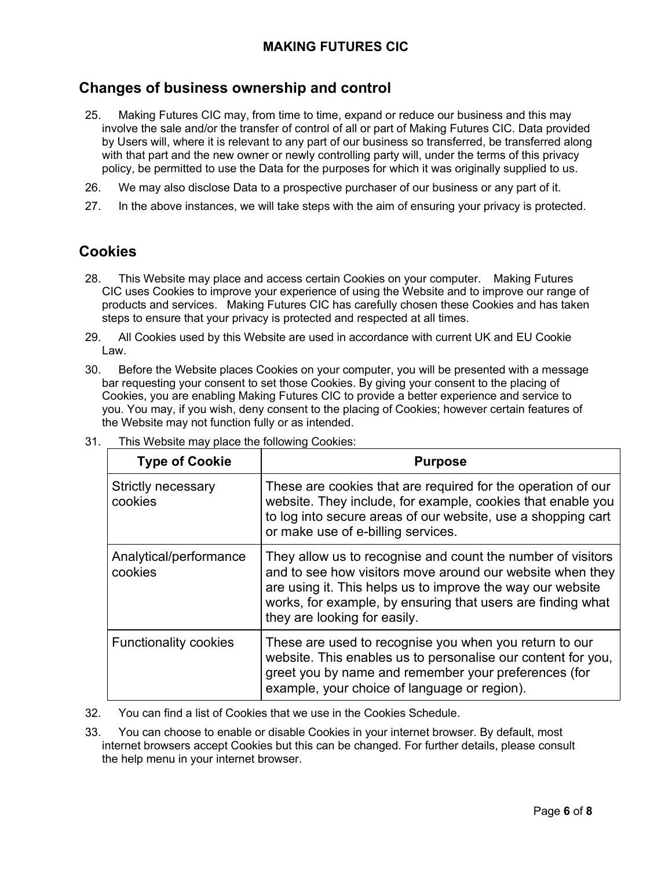## **Changes of business ownership and control**

- 25. Making Futures CIC may, from time to time, expand or reduce our business and this may involve the sale and/or the transfer of control of all or part of Making Futures CIC. Data provided by Users will, where it is relevant to any part of our business so transferred, be transferred along with that part and the new owner or newly controlling party will, under the terms of this privacy policy, be permitted to use the Data for the purposes for which it was originally supplied to us.
- 26. We may also disclose Data to a prospective purchaser of our business or any part of it.
- 27. In the above instances, we will take steps with the aim of ensuring your privacy is protected.

## **Cookies**

- 28. This Website may place and access certain Cookies on your computer. Making Futures CIC uses Cookies to improve your experience of using the Website and to improve our range of products and services. Making Futures CIC has carefully chosen these Cookies and has taken steps to ensure that your privacy is protected and respected at all times.
- 29. All Cookies used by this Website are used in accordance with current UK and EU Cookie Law.
- 30. Before the Website places Cookies on your computer, you will be presented with a message bar requesting your consent to set those Cookies. By giving your consent to the placing of Cookies, you are enabling Making Futures CIC to provide a better experience and service to you. You may, if you wish, deny consent to the placing of Cookies; however certain features of the Website may not function fully or as intended.

| <b>Type of Cookie</b>                | <b>Purpose</b>                                                                                                                                                                                                                                                                        |
|--------------------------------------|---------------------------------------------------------------------------------------------------------------------------------------------------------------------------------------------------------------------------------------------------------------------------------------|
| <b>Strictly necessary</b><br>cookies | These are cookies that are required for the operation of our<br>website. They include, for example, cookies that enable you<br>to log into secure areas of our website, use a shopping cart<br>or make use of e-billing services.                                                     |
| Analytical/performance<br>cookies    | They allow us to recognise and count the number of visitors<br>and to see how visitors move around our website when they<br>are using it. This helps us to improve the way our website<br>works, for example, by ensuring that users are finding what<br>they are looking for easily. |
| <b>Functionality cookies</b>         | These are used to recognise you when you return to our<br>website. This enables us to personalise our content for you,<br>greet you by name and remember your preferences (for<br>example, your choice of language or region).                                                        |

31. This Website may place the following Cookies:

32. You can find a list of Cookies that we use in the Cookies Schedule.

33. You can choose to enable or disable Cookies in your internet browser. By default, most internet browsers accept Cookies but this can be changed. For further details, please consult the help menu in your internet browser.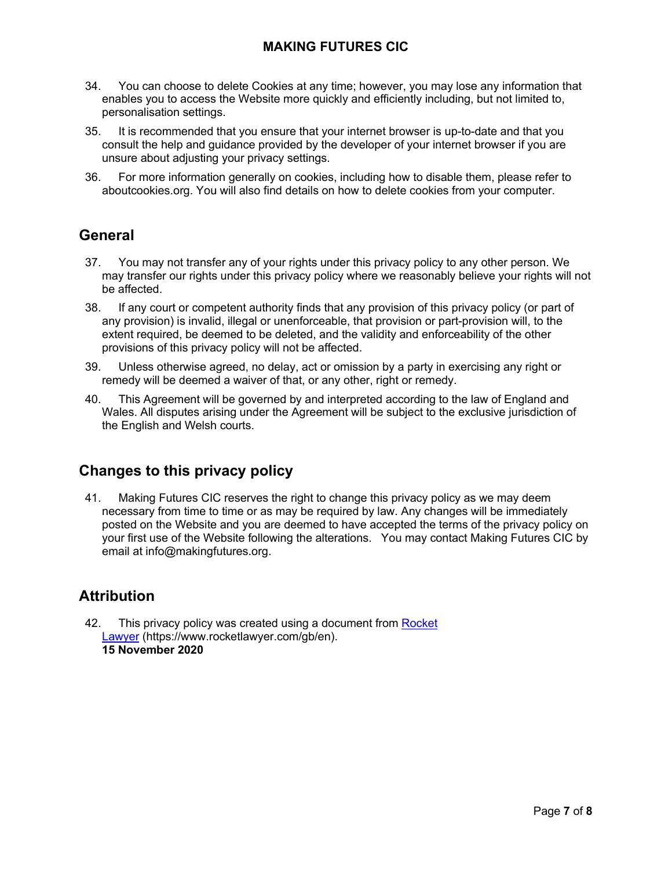- 34. You can choose to delete Cookies at any time; however, you may lose any information that enables you to access the Website more quickly and efficiently including, but not limited to, personalisation settings.
- 35. It is recommended that you ensure that your internet browser is up-to-date and that you consult the help and guidance provided by the developer of your internet browser if you are unsure about adjusting your privacy settings.
- 36. For more information generally on cookies, including how to disable them, please refer to aboutcookies.org. You will also find details on how to delete cookies from your computer.

# **General**

- 37. You may not transfer any of your rights under this privacy policy to any other person. We may transfer our rights under this privacy policy where we reasonably believe your rights will not be affected.
- 38. If any court or competent authority finds that any provision of this privacy policy (or part of any provision) is invalid, illegal or unenforceable, that provision or part-provision will, to the extent required, be deemed to be deleted, and the validity and enforceability of the other provisions of this privacy policy will not be affected.
- 39. Unless otherwise agreed, no delay, act or omission by a party in exercising any right or remedy will be deemed a waiver of that, or any other, right or remedy.
- 40. This Agreement will be governed by and interpreted according to the law of England and Wales. All disputes arising under the Agreement will be subject to the exclusive jurisdiction of the English and Welsh courts.

# **Changes to this privacy policy**

41. Making Futures CIC reserves the right to change this privacy policy as we may deem necessary from time to time or as may be required by law. Any changes will be immediately posted on the Website and you are deemed to have accepted the terms of the privacy policy on your first use of the Website following the alterations. You may contact Making Futures CIC by email at info@makingfutures.org.

# **Attribution**

42. This privacy policy was created using a document from Rocket [Lawyer](https://www.rocketlawyer.com/gb/en/) (https://www.rocketlawyer.com/gb/en). **15 November 2020**